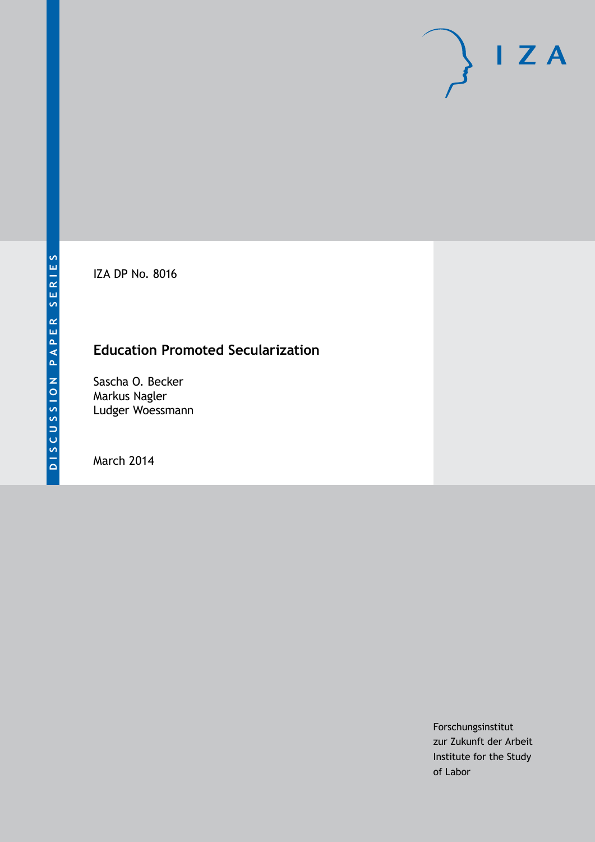IZA DP No. 8016

# **Education Promoted Secularization**

Sascha O. Becker Markus Nagler Ludger Woessmann

March 2014

Forschungsinstitut zur Zukunft der Arbeit Institute for the Study of Labor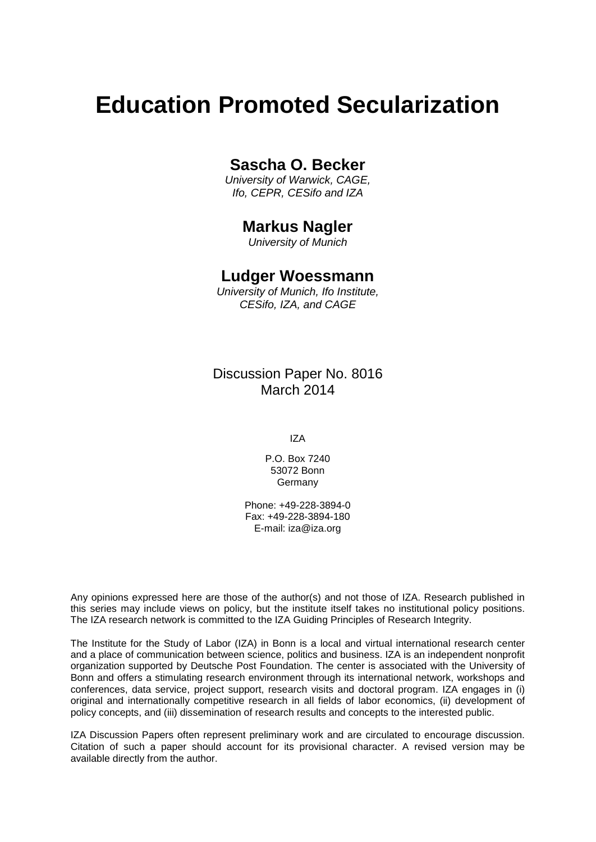# **Education Promoted Secularization**

## **Sascha O. Becker**

*University of Warwick, CAGE, Ifo, CEPR, CESifo and IZA*

### **Markus Nagler**

*University of Munich*

### **Ludger Woessmann**

*University of Munich, Ifo Institute, CESifo, IZA, and CAGE*

Discussion Paper No. 8016 March 2014

IZA

P.O. Box 7240 53072 Bonn Germany

Phone: +49-228-3894-0 Fax: +49-228-3894-180 E-mail: [iza@iza.org](mailto:iza@iza.org)

Any opinions expressed here are those of the author(s) and not those of IZA. Research published in this series may include views on policy, but the institute itself takes no institutional policy positions. The IZA research network is committed to the IZA Guiding Principles of Research Integrity.

The Institute for the Study of Labor (IZA) in Bonn is a local and virtual international research center and a place of communication between science, politics and business. IZA is an independent nonprofit organization supported by Deutsche Post Foundation. The center is associated with the University of Bonn and offers a stimulating research environment through its international network, workshops and conferences, data service, project support, research visits and doctoral program. IZA engages in (i) original and internationally competitive research in all fields of labor economics, (ii) development of policy concepts, and (iii) dissemination of research results and concepts to the interested public.

<span id="page-1-0"></span>IZA Discussion Papers often represent preliminary work and are circulated to encourage discussion. Citation of such a paper should account for its provisional character. A revised version may be available directly from the author.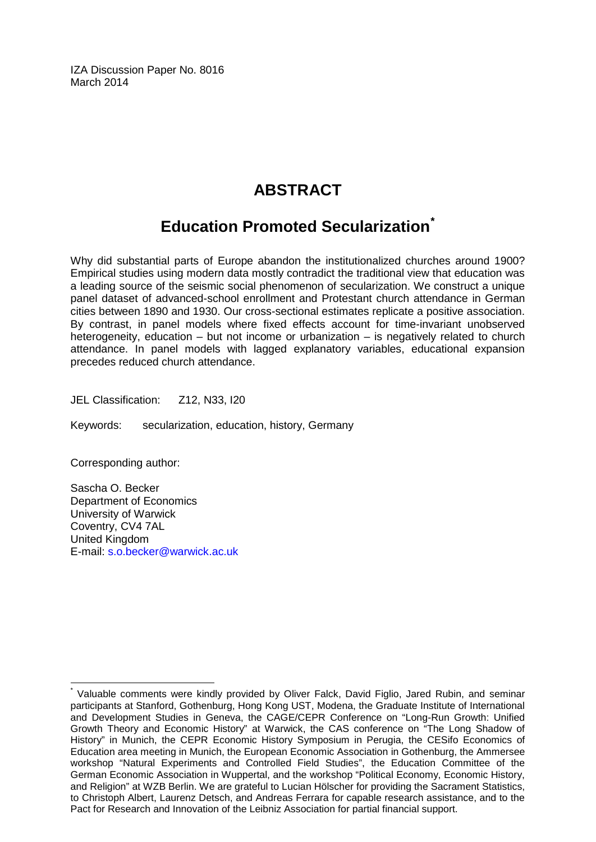IZA Discussion Paper No. 8016 March 2014

# **ABSTRACT**

# **Education Promoted Secularization[\\*](#page-1-0)**

Why did substantial parts of Europe abandon the institutionalized churches around 1900? Empirical studies using modern data mostly contradict the traditional view that education was a leading source of the seismic social phenomenon of secularization. We construct a unique panel dataset of advanced-school enrollment and Protestant church attendance in German cities between 1890 and 1930. Our cross-sectional estimates replicate a positive association. By contrast, in panel models where fixed effects account for time-invariant unobserved heterogeneity, education – but not income or urbanization – is negatively related to church attendance. In panel models with lagged explanatory variables, educational expansion precedes reduced church attendance.

JEL Classification: Z12, N33, I20

Keywords: secularization, education, history, Germany

Corresponding author:

Sascha O. Becker Department of Economics University of Warwick Coventry, CV4 7AL United Kingdom E-mail: [s.o.becker@warwick.ac.uk](mailto:s.o.becker@warwick.ac.uk)

Valuable comments were kindly provided by Oliver Falck, David Figlio, Jared Rubin, and seminar participants at Stanford, Gothenburg, Hong Kong UST, Modena, the Graduate Institute of International and Development Studies in Geneva, the CAGE/CEPR Conference on "Long-Run Growth: Unified Growth Theory and Economic History" at Warwick, the CAS conference on "The Long Shadow of History" in Munich, the CEPR Economic History Symposium in Perugia, the CESifo Economics of Education area meeting in Munich, the European Economic Association in Gothenburg, the Ammersee workshop "Natural Experiments and Controlled Field Studies", the Education Committee of the German Economic Association in Wuppertal, and the workshop "Political Economy, Economic History, and Religion" at WZB Berlin. We are grateful to Lucian Hölscher for providing the Sacrament Statistics, to Christoph Albert, Laurenz Detsch, and Andreas Ferrara for capable research assistance, and to the Pact for Research and Innovation of the Leibniz Association for partial financial support.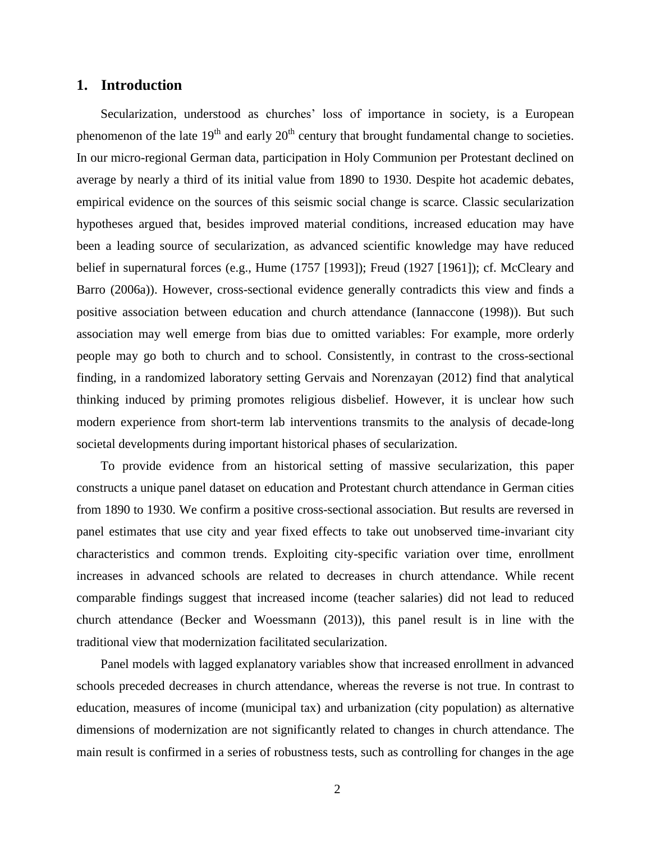#### **1. Introduction**

Secularization, understood as churches' loss of importance in society, is a European phenomenon of the late  $19<sup>th</sup>$  and early  $20<sup>th</sup>$  century that brought fundamental change to societies. In our micro-regional German data, participation in Holy Communion per Protestant declined on average by nearly a third of its initial value from 1890 to 1930. Despite hot academic debates, empirical evidence on the sources of this seismic social change is scarce. Classic secularization hypotheses argued that, besides improved material conditions, increased education may have been a leading source of secularization, as advanced scientific knowledge may have reduced belief in supernatural forces (e.g., [Hume \(1757 \[1993\]\)](#page-16-0); [Freud \(1927 \[1961\]\)](#page-15-0); cf. [McCleary and](#page-16-1)  [Barro \(2006a\)](#page-16-1)). However, cross-sectional evidence generally contradicts this view and finds a positive association between education and church attendance [\(Iannaccone \(1998\)](#page-16-2)). But such association may well emerge from bias due to omitted variables: For example, more orderly people may go both to church and to school. Consistently, in contrast to the cross-sectional finding, in a randomized laboratory setting [Gervais and Norenzayan \(2012\)](#page-15-1) find that analytical thinking induced by priming promotes religious disbelief. However, it is unclear how such modern experience from short-term lab interventions transmits to the analysis of decade-long societal developments during important historical phases of secularization.

To provide evidence from an historical setting of massive secularization, this paper constructs a unique panel dataset on education and Protestant church attendance in German cities from 1890 to 1930. We confirm a positive cross-sectional association. But results are reversed in panel estimates that use city and year fixed effects to take out unobserved time-invariant city characteristics and common trends. Exploiting city-specific variation over time, enrollment increases in advanced schools are related to decreases in church attendance. While recent comparable findings suggest that increased income (teacher salaries) did not lead to reduced church attendance [\(Becker and Woessmann \(2013\)](#page-15-2)), this panel result is in line with the traditional view that modernization facilitated secularization.

Panel models with lagged explanatory variables show that increased enrollment in advanced schools preceded decreases in church attendance, whereas the reverse is not true. In contrast to education, measures of income (municipal tax) and urbanization (city population) as alternative dimensions of modernization are not significantly related to changes in church attendance. The main result is confirmed in a series of robustness tests, such as controlling for changes in the age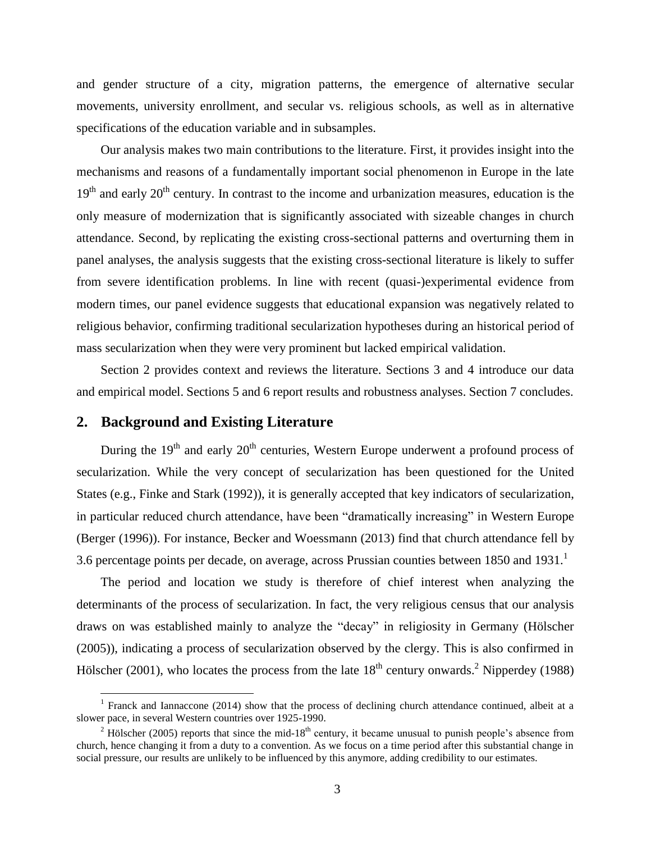and gender structure of a city, migration patterns, the emergence of alternative secular movements, university enrollment, and secular vs. religious schools, as well as in alternative specifications of the education variable and in subsamples.

Our analysis makes two main contributions to the literature. First, it provides insight into the mechanisms and reasons of a fundamentally important social phenomenon in Europe in the late  $19<sup>th</sup>$  and early  $20<sup>th</sup>$  century. In contrast to the income and urbanization measures, education is the only measure of modernization that is significantly associated with sizeable changes in church attendance. Second, by replicating the existing cross-sectional patterns and overturning them in panel analyses, the analysis suggests that the existing cross-sectional literature is likely to suffer from severe identification problems. In line with recent (quasi-)experimental evidence from modern times, our panel evidence suggests that educational expansion was negatively related to religious behavior, confirming traditional secularization hypotheses during an historical period of mass secularization when they were very prominent but lacked empirical validation.

Section 2 provides context and reviews the literature. Sections 3 and 4 introduce our data and empirical model. Sections 5 and 6 report results and robustness analyses. Section 7 concludes.

#### **2. Background and Existing Literature**

 $\overline{a}$ 

During the  $19<sup>th</sup>$  and early  $20<sup>th</sup>$  centuries, Western Europe underwent a profound process of secularization. While the very concept of secularization has been questioned for the United States (e.g., [Finke and Stark \(1992\)](#page-15-3)), it is generally accepted that key indicators of secularization, in particular reduced church attendance, have been "dramatically increasing" in Western Europe [\(Berger \(1996\)](#page-15-4)). For instance, [Becker and Woessmann \(2013\)](#page-15-2) find that church attendance fell by 3.6 percentage points per decade, on average, across Prussian counties between 1850 and 1931.

The period and location we study is therefore of chief interest when analyzing the determinants of the process of secularization. In fact, the very religious census that our analysis draws on was established mainly to analyze the "decay" in religiosity in Germany [\(Hölscher](#page-15-5)  [\(2005\)](#page-15-5)), indicating a process of secularization observed by the clergy. This is also confirmed in [Hölscher \(2001\)](#page-15-6), who locates the process from the late  $18<sup>th</sup>$  century onwards.<sup>2</sup> [Nipperdey \(1988\)](#page-16-3)

<sup>&</sup>lt;sup>1</sup> [Franck and Iannaccone \(2014](#page-15-1)) show that the process of declining church attendance continued, albeit at a slower pace, in several Western countries over 1925-1990.

 $2$  [Hölscher \(2005\)](#page-15-5) reports that since the mid-18<sup>th</sup> century, it became unusual to punish people's absence from church, hence changing it from a duty to a convention. As we focus on a time period after this substantial change in social pressure, our results are unlikely to be influenced by this anymore, adding credibility to our estimates.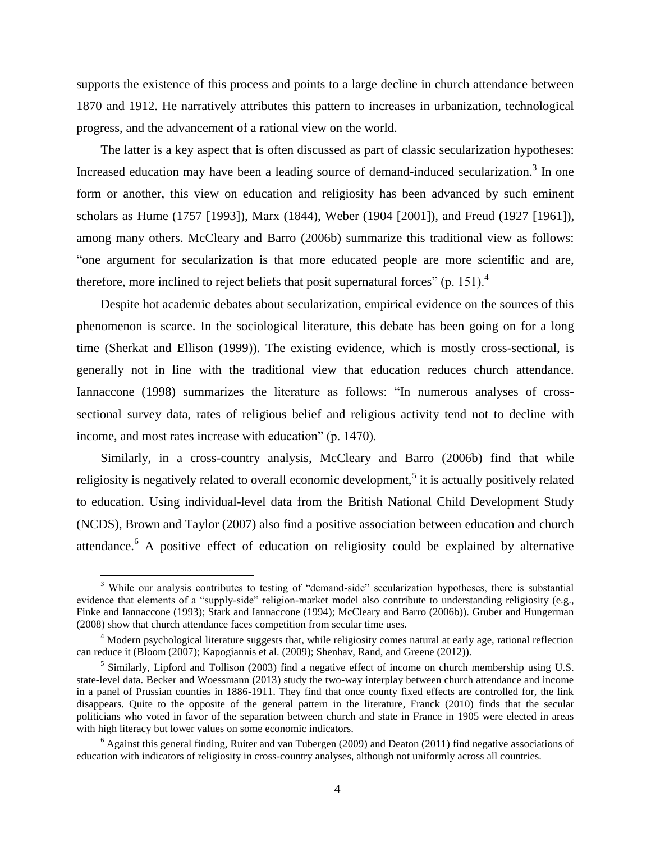supports the existence of this process and points to a large decline in church attendance between 1870 and 1912. He narratively attributes this pattern to increases in urbanization, technological progress, and the advancement of a rational view on the world.

The latter is a key aspect that is often discussed as part of classic secularization hypotheses: Increased education may have been a leading source of demand-induced secularization.<sup>3</sup> In one form or another, this view on education and religiosity has been advanced by such eminent scholars as [Hume \(1757 \[1993\]\)](#page-16-0), [Marx \(1844\)](#page-16-4), [Weber \(1904 \[2001\]\)](#page-16-5), and [Freud \(1927 \[1961\]\)](#page-15-0), among many others. [McCleary and Barro \(2006b\)](#page-16-6) summarize this traditional view as follows: "one argument for secularization is that more educated people are more scientific and are, therefore, more inclined to reject beliefs that posit supernatural forces"  $(p. 151)$ .<sup>4</sup>

Despite hot academic debates about secularization, empirical evidence on the sources of this phenomenon is scarce. In the sociological literature, this debate has been going on for a long time [\(Sherkat and Ellison \(1999\)](#page-16-7)). The existing evidence, which is mostly cross-sectional, is generally not in line with the traditional view that education reduces church attendance. [Iannaccone \(1998\)](#page-16-2) summarizes the literature as follows: "In numerous analyses of crosssectional survey data, rates of religious belief and religious activity tend not to decline with income, and most rates increase with education" (p. 1470).

Similarly, in a cross-country analysis, [McCleary and Barro \(2006b\)](#page-16-6) find that while religiosity is negatively related to overall economic development,<sup>5</sup> it is actually positively related to education. Using individual-level data from the British National Child Development Study (NCDS), [Brown and Taylor \(2007\)](#page-15-7) also find a positive association between education and church attendance.<sup>6</sup> A positive effect of education on religiosity could be explained by alternative

 $\overline{a}$ 

<sup>&</sup>lt;sup>3</sup> While our analysis contributes to testing of "demand-side" secularization hypotheses, there is substantial evidence that elements of a "supply-side" religion-market model also contribute to understanding religiosity (e.g., [Finke and Iannaccone \(1993\)](#page-15-8); [Stark and Iannaccone \(1994\)](#page-16-8); [McCleary and Barro \(2006b\)](#page-16-6)). [Gruber and Hungerman](#page-15-9)  [\(2008\)](#page-15-9) show that church attendance faces competition from secular time uses.

<sup>&</sup>lt;sup>4</sup> Modern psychological literature suggests that, while religiosity comes natural at early age, rational reflection can reduce it [\(Bloom \(2007\)](#page-15-7)[; Kapogiannis et al. \(2009\)](#page-16-4)[; Shenhav, Rand, and Greene \(2012\)](#page-16-7)).

<sup>&</sup>lt;sup>5</sup> Similarly, [Lipford and Tollison \(2003\)](#page-16-9) find a negative effect of income on church membership using U.S. state-level data. [Becker and Woessmann \(2013\)](#page-15-2) study the two-way interplay between church attendance and income in a panel of Prussian counties in 1886-1911. They find that once county fixed effects are controlled for, the link disappears. Quite to the opposite of the general pattern in the literature, [Franck \(2010\)](#page-15-10) finds that the secular politicians who voted in favor of the separation between church and state in France in 1905 were elected in areas with high literacy but lower values on some economic indicators.

 $6$  Against this general finding, [Ruiter and van Tubergen \(2009\)](#page-16-10) and [Deaton \(2011\)](#page-15-11) find negative associations of education with indicators of religiosity in cross-country analyses, although not uniformly across all countries.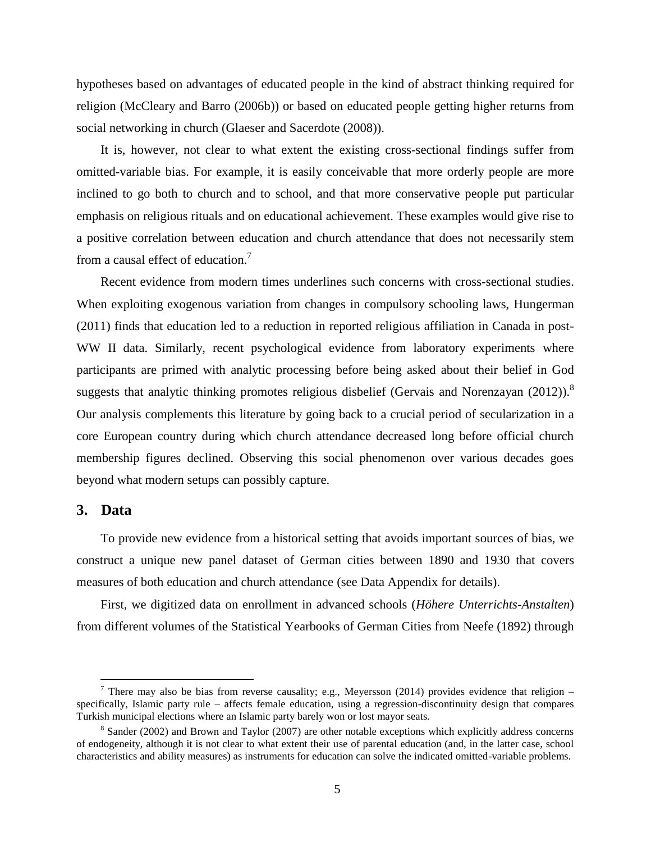hypotheses based on advantages of educated people in the kind of abstract thinking required for religion [\(McCleary and Barro \(2006b\)](#page-16-6)) or based on educated people getting higher returns from social networking in church [\(Glaeser and Sacerdote \(2008\)](#page-15-12)).

It is, however, not clear to what extent the existing cross-sectional findings suffer from omitted-variable bias. For example, it is easily conceivable that more orderly people are more inclined to go both to church and to school, and that more conservative people put particular emphasis on religious rituals and on educational achievement. These examples would give rise to a positive correlation between education and church attendance that does not necessarily stem from a causal effect of education.<sup>7</sup>

Recent evidence from modern times underlines such concerns with cross-sectional studies. When exploiting exogenous variation from changes in compulsory schooling laws, [Hungerman](#page-16-11)  [\(2011\)](#page-16-11) finds that education led to a reduction in reported religious affiliation in Canada in post-WW II data. Similarly, recent psychological evidence from laboratory experiments where participants are primed with analytic processing before being asked about their belief in God suggests that analytic thinking promotes religious disbelief [\(Gervais and Norenzayan \(2012\)](#page-15-1)).<sup>8</sup> Our analysis complements this literature by going back to a crucial period of secularization in a core European country during which church attendance decreased long before official church membership figures declined. Observing this social phenomenon over various decades goes beyond what modern setups can possibly capture.

#### **3. Data**

 $\overline{a}$ 

To provide new evidence from a historical setting that avoids important sources of bias, we construct a unique new panel dataset of German cities between 1890 and 1930 that covers measures of both education and church attendance (see Data Appendix for details).

First, we digitized data on enrollment in advanced schools (*Höhere Unterrichts-Anstalten*) from different volumes of the Statistical Yearbooks of German Cities from [Neefe \(1892\)](#page-16-12) through

<sup>&</sup>lt;sup>7</sup> There may also be bias from reverse causality; e.g., [Meyersson \(2014](#page-16-13)) provides evidence that religion – specifically, Islamic party rule – affects female education, using a regression-discontinuity design that compares Turkish municipal elections where an Islamic party barely won or lost mayor seats.

 $8$  [Sander \(2002\)](#page-16-10) and [Brown and Taylor \(2007\)](#page-15-7) are other notable exceptions which explicitly address concerns of endogeneity, although it is not clear to what extent their use of parental education (and, in the latter case, school characteristics and ability measures) as instruments for education can solve the indicated omitted-variable problems.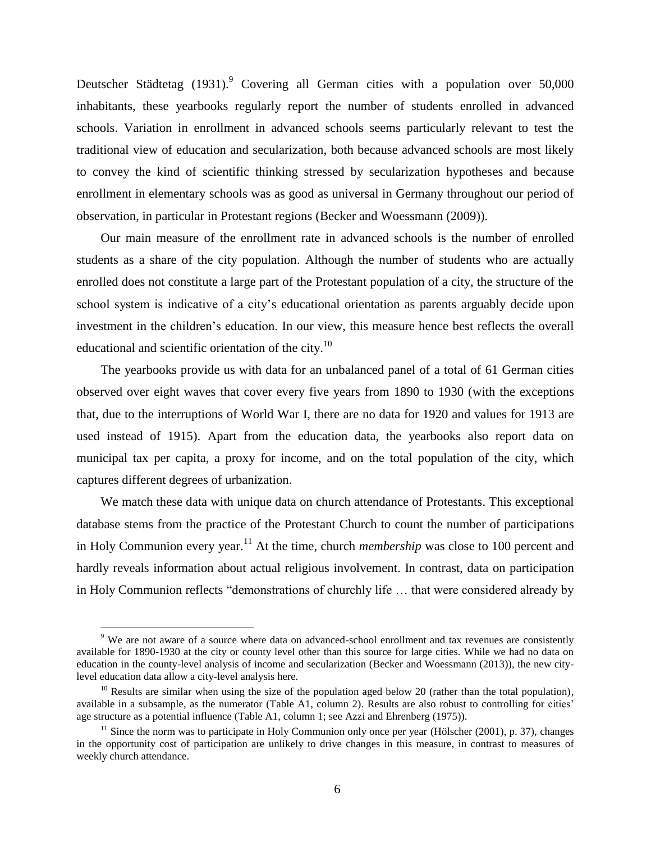[Deutscher Städtetag \(1931\)](#page-15-13).<sup>9</sup> Covering all German cities with a population over 50,000 inhabitants, these yearbooks regularly report the number of students enrolled in advanced schools. Variation in enrollment in advanced schools seems particularly relevant to test the traditional view of education and secularization, both because advanced schools are most likely to convey the kind of scientific thinking stressed by secularization hypotheses and because enrollment in elementary schools was as good as universal in Germany throughout our period of observation, in particular in Protestant regions [\(Becker and Woessmann \(2009\)](#page-15-14)).

Our main measure of the enrollment rate in advanced schools is the number of enrolled students as a share of the city population. Although the number of students who are actually enrolled does not constitute a large part of the Protestant population of a city, the structure of the school system is indicative of a city's educational orientation as parents arguably decide upon investment in the children's education. In our view, this measure hence best reflects the overall educational and scientific orientation of the city. $10$ 

The yearbooks provide us with data for an unbalanced panel of a total of 61 German cities observed over eight waves that cover every five years from 1890 to 1930 (with the exceptions that, due to the interruptions of World War I, there are no data for 1920 and values for 1913 are used instead of 1915). Apart from the education data, the yearbooks also report data on municipal tax per capita, a proxy for income, and on the total population of the city, which captures different degrees of urbanization.

We match these data with unique data on church attendance of Protestants. This exceptional database stems from the practice of the Protestant Church to count the number of participations in Holy Communion every year.<sup>11</sup> At the time, church *membership* was close to 100 percent and hardly reveals information about actual religious involvement. In contrast, data on participation in Holy Communion reflects "demonstrations of churchly life … that were considered already by

 $\overline{a}$ 

<sup>&</sup>lt;sup>9</sup> We are not aware of a source where data on advanced-school enrollment and tax revenues are consistently available for 1890-1930 at the city or county level other than this source for large cities. While we had no data on education in the county-level analysis of income and secularization [\(Becker and Woessmann \(2013\)](#page-15-2)), the new citylevel education data allow a city-level analysis here.

<sup>&</sup>lt;sup>10</sup> Results are similar when using the size of the population aged below 20 (rather than the total population), available in a subsample, as the numerator (Table A1, column 2). Results are also robust to controlling for cities' age structure as a potential influence (Table A1, column 1; se[e Azzi and Ehrenberg \(1975\)](#page-15-15)).

 $11$  Since the norm was to participate in Holy Communion only once per year [\(Hölscher \(2001\)](#page-15-10), p. 37), changes in the opportunity cost of participation are unlikely to drive changes in this measure, in contrast to measures of weekly church attendance.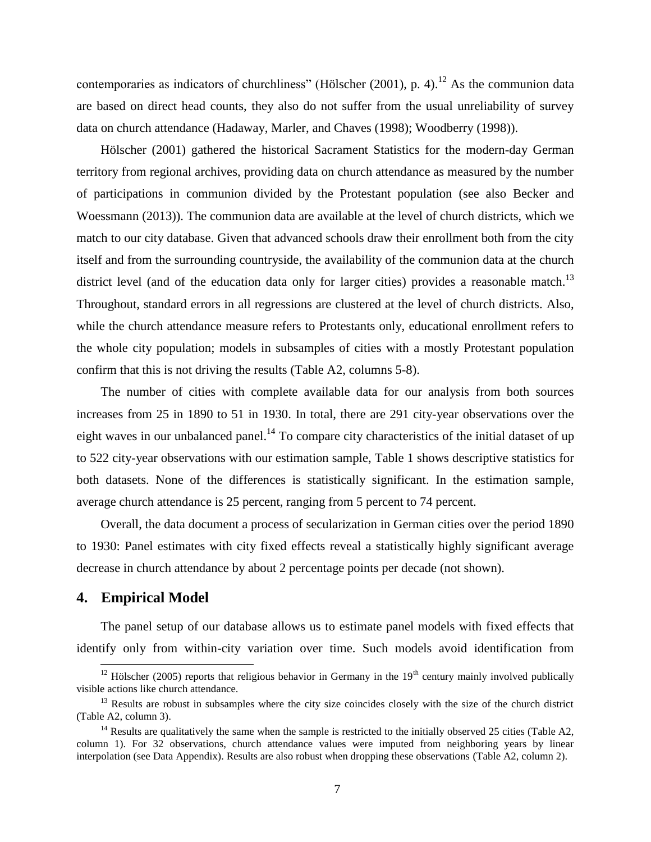contemporaries as indicators of churchliness" (Hölscher  $(2001)$ , p. 4).<sup>12</sup> As the communion data are based on direct head counts, they also do not suffer from the usual unreliability of survey data on church attendance [\(Hadaway, Marler, and Chaves \(1998\)](#page-15-16); [Woodberry \(1998\)](#page-16-14)).

[Hölscher \(2001\)](#page-15-6) gathered the historical Sacrament Statistics for the modern-day German territory from regional archives, providing data on church attendance as measured by the number of participations in communion divided by the Protestant population (see also [Becker and](#page-15-2)  [Woessmann \(2013\)](#page-15-2)). The communion data are available at the level of church districts, which we match to our city database. Given that advanced schools draw their enrollment both from the city itself and from the surrounding countryside, the availability of the communion data at the church district level (and of the education data only for larger cities) provides a reasonable match.<sup>13</sup> Throughout, standard errors in all regressions are clustered at the level of church districts. Also, while the church attendance measure refers to Protestants only, educational enrollment refers to the whole city population; models in subsamples of cities with a mostly Protestant population confirm that this is not driving the results (Table A2, columns 5-8).

The number of cities with complete available data for our analysis from both sources increases from 25 in 1890 to 51 in 1930. In total, there are 291 city-year observations over the eight waves in our unbalanced panel.<sup>14</sup> To compare city characteristics of the initial dataset of up to 522 city-year observations with our estimation sample, Table 1 shows descriptive statistics for both datasets. None of the differences is statistically significant. In the estimation sample, average church attendance is 25 percent, ranging from 5 percent to 74 percent.

Overall, the data document a process of secularization in German cities over the period 1890 to 1930: Panel estimates with city fixed effects reveal a statistically highly significant average decrease in church attendance by about 2 percentage points per decade (not shown).

#### **4. Empirical Model**

 $\overline{a}$ 

The panel setup of our database allows us to estimate panel models with fixed effects that identify only from within-city variation over time. Such models avoid identification from

 $12$  [Hölscher \(2005\)](#page-15-5) reports that religious behavior in Germany in the 19<sup>th</sup> century mainly involved publically visible actions like church attendance.

<sup>&</sup>lt;sup>13</sup> Results are robust in subsamples where the city size coincides closely with the size of the church district (Table A2, column 3).

<sup>&</sup>lt;sup>14</sup> Results are qualitatively the same when the sample is restricted to the initially observed 25 cities (Table A2, column 1). For 32 observations, church attendance values were imputed from neighboring years by linear interpolation (see Data Appendix). Results are also robust when dropping these observations (Table A2, column 2).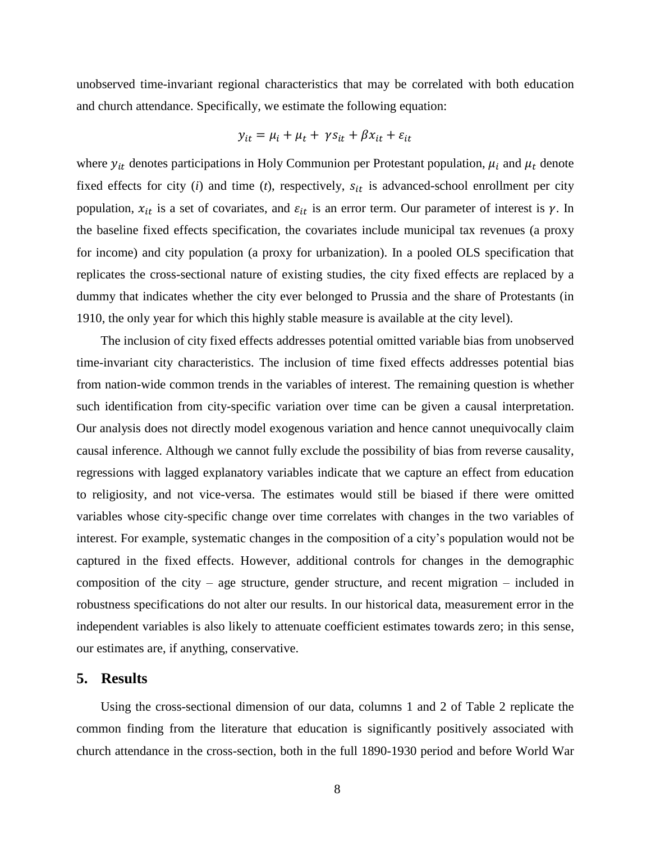unobserved time-invariant regional characteristics that may be correlated with both education and church attendance. Specifically, we estimate the following equation:

$$
y_{it} = \mu_i + \mu_t + \gamma s_{it} + \beta x_{it} + \varepsilon_{it}
$$

where  $y_{it}$  denotes participations in Holy Communion per Protestant population,  $\mu_i$  and  $\mu_t$  denote fixed effects for city  $(i)$  and time  $(t)$ , respectively,  $s_{it}$  is advanced-school enrollment per city population,  $x_{it}$  is a set of covariates, and  $\varepsilon_{it}$  is an error term. Our parameter of interest is  $\gamma$ . In the baseline fixed effects specification, the covariates include municipal tax revenues (a proxy for income) and city population (a proxy for urbanization). In a pooled OLS specification that replicates the cross-sectional nature of existing studies, the city fixed effects are replaced by a dummy that indicates whether the city ever belonged to Prussia and the share of Protestants (in 1910, the only year for which this highly stable measure is available at the city level).

The inclusion of city fixed effects addresses potential omitted variable bias from unobserved time-invariant city characteristics. The inclusion of time fixed effects addresses potential bias from nation-wide common trends in the variables of interest. The remaining question is whether such identification from city-specific variation over time can be given a causal interpretation. Our analysis does not directly model exogenous variation and hence cannot unequivocally claim causal inference. Although we cannot fully exclude the possibility of bias from reverse causality, regressions with lagged explanatory variables indicate that we capture an effect from education to religiosity, and not vice-versa. The estimates would still be biased if there were omitted variables whose city-specific change over time correlates with changes in the two variables of interest. For example, systematic changes in the composition of a city's population would not be captured in the fixed effects. However, additional controls for changes in the demographic composition of the city – age structure, gender structure, and recent migration – included in robustness specifications do not alter our results. In our historical data, measurement error in the independent variables is also likely to attenuate coefficient estimates towards zero; in this sense, our estimates are, if anything, conservative.

#### **5. Results**

Using the cross-sectional dimension of our data, columns 1 and 2 of Table 2 replicate the common finding from the literature that education is significantly positively associated with church attendance in the cross-section, both in the full 1890-1930 period and before World War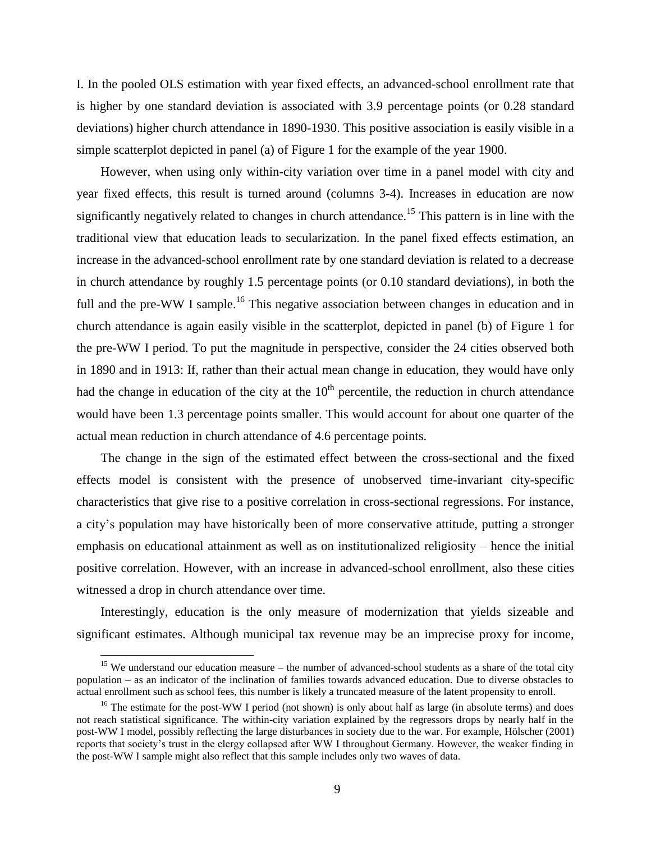I. In the pooled OLS estimation with year fixed effects, an advanced-school enrollment rate that is higher by one standard deviation is associated with 3.9 percentage points (or 0.28 standard deviations) higher church attendance in 1890-1930. This positive association is easily visible in a simple scatterplot depicted in panel (a) of Figure 1 for the example of the year 1900.

However, when using only within-city variation over time in a panel model with city and year fixed effects, this result is turned around (columns 3-4). Increases in education are now significantly negatively related to changes in church attendance. <sup>15</sup> This pattern is in line with the traditional view that education leads to secularization. In the panel fixed effects estimation, an increase in the advanced-school enrollment rate by one standard deviation is related to a decrease in church attendance by roughly 1.5 percentage points (or 0.10 standard deviations), in both the full and the pre-WW I sample.<sup>16</sup> This negative association between changes in education and in church attendance is again easily visible in the scatterplot, depicted in panel (b) of Figure 1 for the pre-WW I period. To put the magnitude in perspective, consider the 24 cities observed both in 1890 and in 1913: If, rather than their actual mean change in education, they would have only had the change in education of the city at the  $10<sup>th</sup>$  percentile, the reduction in church attendance would have been 1.3 percentage points smaller. This would account for about one quarter of the actual mean reduction in church attendance of 4.6 percentage points.

The change in the sign of the estimated effect between the cross-sectional and the fixed effects model is consistent with the presence of unobserved time-invariant city-specific characteristics that give rise to a positive correlation in cross-sectional regressions. For instance, a city's population may have historically been of more conservative attitude, putting a stronger emphasis on educational attainment as well as on institutionalized religiosity – hence the initial positive correlation. However, with an increase in advanced-school enrollment, also these cities witnessed a drop in church attendance over time.

Interestingly, education is the only measure of modernization that yields sizeable and significant estimates. Although municipal tax revenue may be an imprecise proxy for income,

 $\overline{a}$ 

<sup>&</sup>lt;sup>15</sup> We understand our education measure – the number of advanced-school students as a share of the total city population – as an indicator of the inclination of families towards advanced education. Due to diverse obstacles to actual enrollment such as school fees, this number is likely a truncated measure of the latent propensity to enroll.

<sup>&</sup>lt;sup>16</sup> The estimate for the post-WW I period (not shown) is only about half as large (in absolute terms) and does not reach statistical significance. The within-city variation explained by the regressors drops by nearly half in the post-WW I model, possibly reflecting the large disturbances in society due to the war. For example, [Hölscher \(2001\)](#page-15-6) reports that society's trust in the clergy collapsed after WW I throughout Germany. However, the weaker finding in the post-WW I sample might also reflect that this sample includes only two waves of data.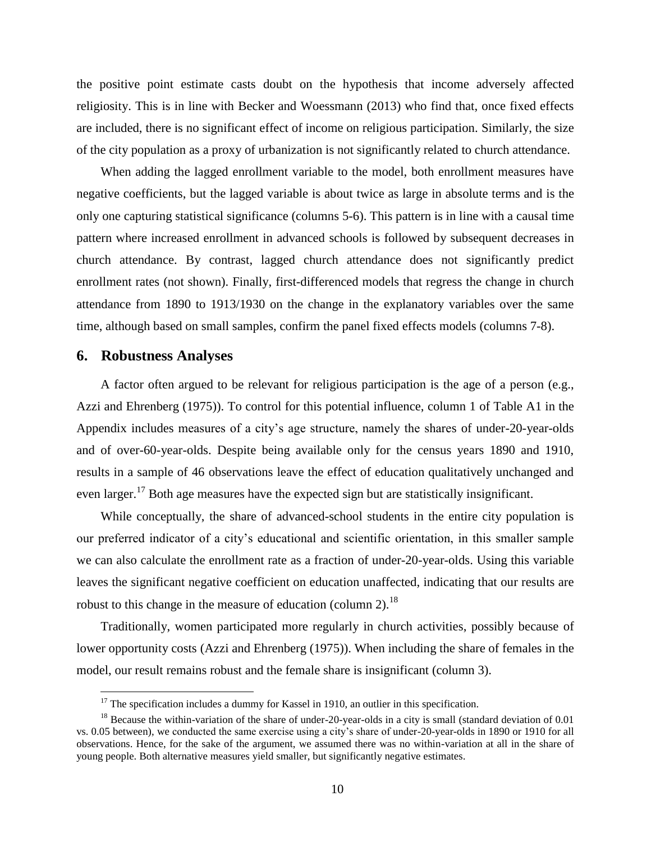the positive point estimate casts doubt on the hypothesis that income adversely affected religiosity. This is in line with [Becker and Woessmann \(2013\)](#page-15-2) who find that, once fixed effects are included, there is no significant effect of income on religious participation. Similarly, the size of the city population as a proxy of urbanization is not significantly related to church attendance.

When adding the lagged enrollment variable to the model, both enrollment measures have negative coefficients, but the lagged variable is about twice as large in absolute terms and is the only one capturing statistical significance (columns 5-6). This pattern is in line with a causal time pattern where increased enrollment in advanced schools is followed by subsequent decreases in church attendance. By contrast, lagged church attendance does not significantly predict enrollment rates (not shown). Finally, first-differenced models that regress the change in church attendance from 1890 to 1913/1930 on the change in the explanatory variables over the same time, although based on small samples, confirm the panel fixed effects models (columns 7-8).

#### **6. Robustness Analyses**

 $\overline{a}$ 

A factor often argued to be relevant for religious participation is the age of a person (e.g., [Azzi and Ehrenberg \(1975\)](#page-15-15)). To control for this potential influence, column 1 of Table A1 in the Appendix includes measures of a city's age structure, namely the shares of under-20-year-olds and of over-60-year-olds. Despite being available only for the census years 1890 and 1910, results in a sample of 46 observations leave the effect of education qualitatively unchanged and even larger.<sup>17</sup> Both age measures have the expected sign but are statistically insignificant.

While conceptually, the share of advanced-school students in the entire city population is our preferred indicator of a city's educational and scientific orientation, in this smaller sample we can also calculate the enrollment rate as a fraction of under-20-year-olds. Using this variable leaves the significant negative coefficient on education unaffected, indicating that our results are robust to this change in the measure of education (column 2).<sup>18</sup>

Traditionally, women participated more regularly in church activities, possibly because of lower opportunity costs [\(Azzi and Ehrenberg \(1975\)](#page-15-15)). When including the share of females in the model, our result remains robust and the female share is insignificant (column 3).

 $17$  The specification includes a dummy for Kassel in 1910, an outlier in this specification.

<sup>&</sup>lt;sup>18</sup> Because the within-variation of the share of under-20-year-olds in a city is small (standard deviation of 0.01 vs. 0.05 between), we conducted the same exercise using a city's share of under-20-year-olds in 1890 or 1910 for all observations. Hence, for the sake of the argument, we assumed there was no within-variation at all in the share of young people. Both alternative measures yield smaller, but significantly negative estimates.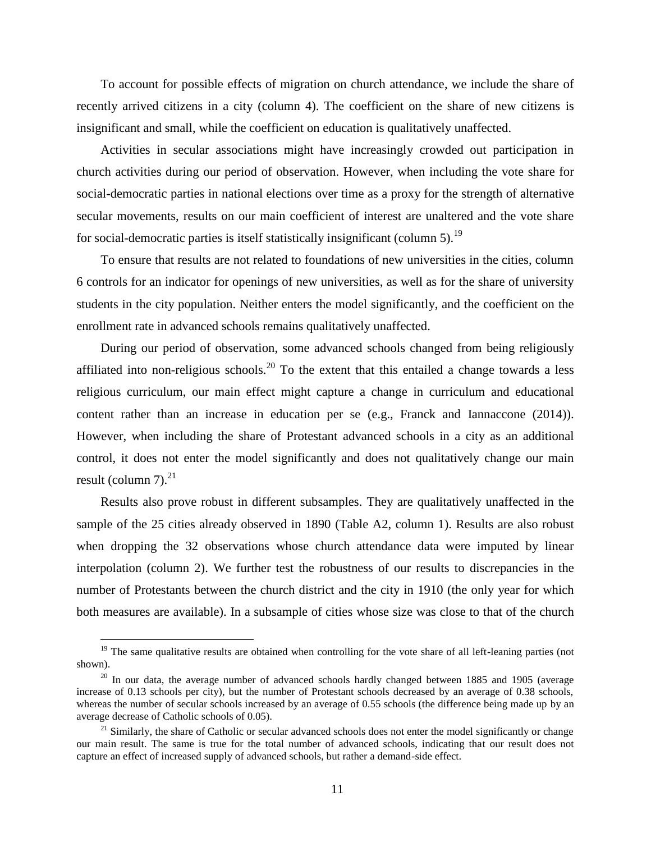To account for possible effects of migration on church attendance, we include the share of recently arrived citizens in a city (column 4). The coefficient on the share of new citizens is insignificant and small, while the coefficient on education is qualitatively unaffected.

Activities in secular associations might have increasingly crowded out participation in church activities during our period of observation. However, when including the vote share for social-democratic parties in national elections over time as a proxy for the strength of alternative secular movements, results on our main coefficient of interest are unaltered and the vote share for social-democratic parties is itself statistically insignificant (column 5).<sup>19</sup>

To ensure that results are not related to foundations of new universities in the cities, column 6 controls for an indicator for openings of new universities, as well as for the share of university students in the city population. Neither enters the model significantly, and the coefficient on the enrollment rate in advanced schools remains qualitatively unaffected.

During our period of observation, some advanced schools changed from being religiously affiliated into non-religious schools.<sup>20</sup> To the extent that this entailed a change towards a less religious curriculum, our main effect might capture a change in curriculum and educational content rather than an increase in education per se (e.g., [Franck and Iannaccone \(2014](#page-15-1))). However, when including the share of Protestant advanced schools in a city as an additional control, it does not enter the model significantly and does not qualitatively change our main result (column  $7<sup>21</sup>$ 

Results also prove robust in different subsamples. They are qualitatively unaffected in the sample of the 25 cities already observed in 1890 (Table A2, column 1). Results are also robust when dropping the 32 observations whose church attendance data were imputed by linear interpolation (column 2). We further test the robustness of our results to discrepancies in the number of Protestants between the church district and the city in 1910 (the only year for which both measures are available). In a subsample of cities whose size was close to that of the church

 $\overline{a}$ 

 $19$  The same qualitative results are obtained when controlling for the vote share of all left-leaning parties (not shown).

 $20$  In our data, the average number of advanced schools hardly changed between 1885 and 1905 (average increase of 0.13 schools per city), but the number of Protestant schools decreased by an average of 0.38 schools, whereas the number of secular schools increased by an average of 0.55 schools (the difference being made up by an average decrease of Catholic schools of 0.05).

<sup>&</sup>lt;sup>21</sup> Similarly, the share of Catholic or secular advanced schools does not enter the model significantly or change our main result. The same is true for the total number of advanced schools, indicating that our result does not capture an effect of increased supply of advanced schools, but rather a demand-side effect.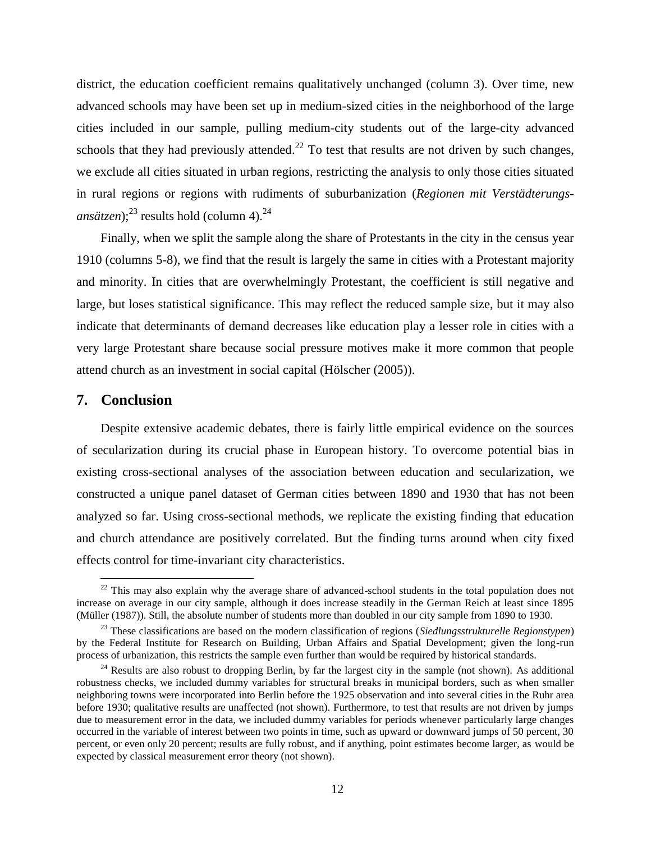district, the education coefficient remains qualitatively unchanged (column 3). Over time, new advanced schools may have been set up in medium-sized cities in the neighborhood of the large cities included in our sample, pulling medium-city students out of the large-city advanced schools that they had previously attended. $^{22}$  To test that results are not driven by such changes, we exclude all cities situated in urban regions, restricting the analysis to only those cities situated in rural regions or regions with rudiments of suburbanization (*Regionen mit Verstädterungsansätzen*);<sup>23</sup> results hold (column 4).<sup>24</sup>

Finally, when we split the sample along the share of Protestants in the city in the census year 1910 (columns 5-8), we find that the result is largely the same in cities with a Protestant majority and minority. In cities that are overwhelmingly Protestant, the coefficient is still negative and large, but loses statistical significance. This may reflect the reduced sample size, but it may also indicate that determinants of demand decreases like education play a lesser role in cities with a very large Protestant share because social pressure motives make it more common that people attend church as an investment in social capital [\(Hölscher \(2005\)](#page-15-5)).

#### **7. Conclusion**

 $\overline{a}$ 

Despite extensive academic debates, there is fairly little empirical evidence on the sources of secularization during its crucial phase in European history. To overcome potential bias in existing cross-sectional analyses of the association between education and secularization, we constructed a unique panel dataset of German cities between 1890 and 1930 that has not been analyzed so far. Using cross-sectional methods, we replicate the existing finding that education and church attendance are positively correlated. But the finding turns around when city fixed effects control for time-invariant city characteristics.

 $22$  This may also explain why the average share of advanced-school students in the total population does not increase on average in our city sample, although it does increase steadily in the German Reich at least since 1895 [\(Müller](#page-16-12) (1987)). Still, the absolute number of students more than doubled in our city sample from 1890 to 1930.

<sup>23</sup> These classifications are based on the modern classification of regions (*Siedlungsstrukturelle Regionstypen*) by the Federal Institute for Research on Building, Urban Affairs and Spatial Development; given the long-run process of urbanization, this restricts the sample even further than would be required by historical standards.

<sup>&</sup>lt;sup>24</sup> Results are also robust to dropping Berlin, by far the largest city in the sample (not shown). As additional robustness checks, we included dummy variables for structural breaks in municipal borders, such as when smaller neighboring towns were incorporated into Berlin before the 1925 observation and into several cities in the Ruhr area before 1930; qualitative results are unaffected (not shown). Furthermore, to test that results are not driven by jumps due to measurement error in the data, we included dummy variables for periods whenever particularly large changes occurred in the variable of interest between two points in time, such as upward or downward jumps of 50 percent, 30 percent, or even only 20 percent; results are fully robust, and if anything, point estimates become larger, as would be expected by classical measurement error theory (not shown).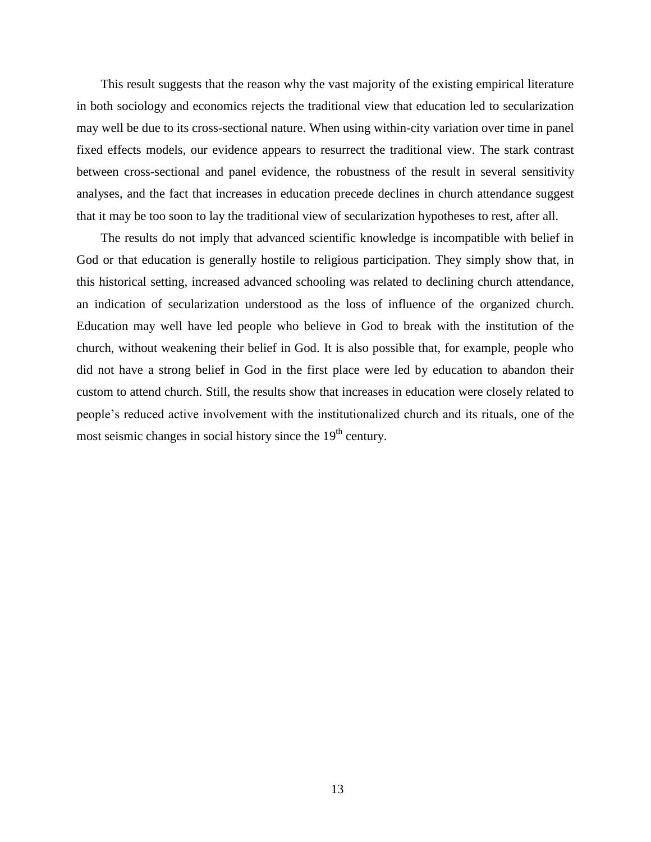This result suggests that the reason why the vast majority of the existing empirical literature in both sociology and economics rejects the traditional view that education led to secularization may well be due to its cross-sectional nature. When using within-city variation over time in panel fixed effects models, our evidence appears to resurrect the traditional view. The stark contrast between cross-sectional and panel evidence, the robustness of the result in several sensitivity analyses, and the fact that increases in education precede declines in church attendance suggest that it may be too soon to lay the traditional view of secularization hypotheses to rest, after all.

The results do not imply that advanced scientific knowledge is incompatible with belief in God or that education is generally hostile to religious participation. They simply show that, in this historical setting, increased advanced schooling was related to declining church attendance, an indication of secularization understood as the loss of influence of the organized church. Education may well have led people who believe in God to break with the institution of the church, without weakening their belief in God. It is also possible that, for example, people who did not have a strong belief in God in the first place were led by education to abandon their custom to attend church. Still, the results show that increases in education were closely related to people's reduced active involvement with the institutionalized church and its rituals, one of the most seismic changes in social history since the  $19<sup>th</sup>$  century.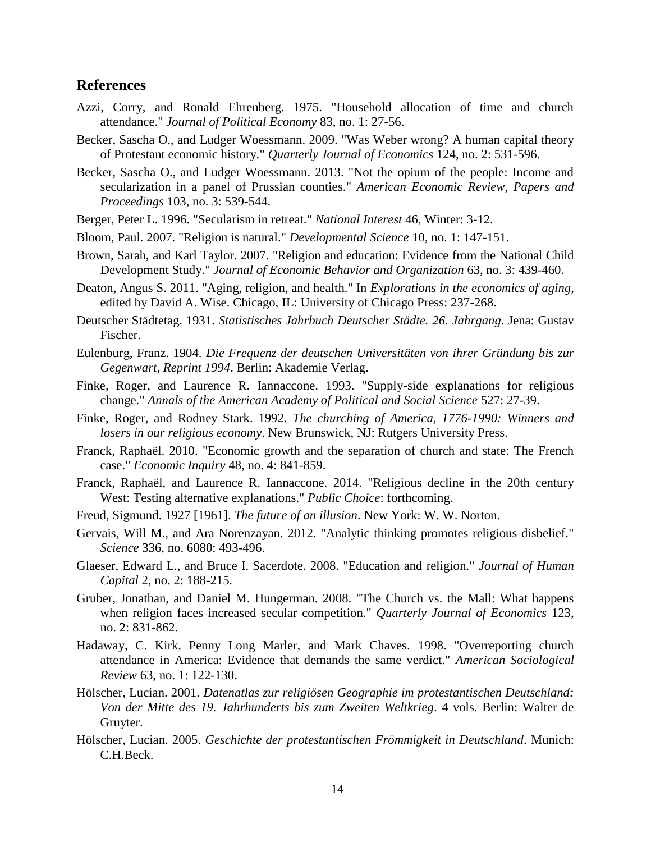### **References**

- <span id="page-15-15"></span>Azzi, Corry, and Ronald Ehrenberg. 1975. "Household allocation of time and church attendance." *Journal of Political Economy* 83, no. 1: 27-56.
- <span id="page-15-18"></span><span id="page-15-14"></span>Becker, Sascha O., and Ludger Woessmann. 2009. "Was Weber wrong? A human capital theory of Protestant economic history." *Quarterly Journal of Economics* 124, no. 2: 531-596.
- <span id="page-15-2"></span>Becker, Sascha O., and Ludger Woessmann. 2013. "Not the opium of the people: Income and secularization in a panel of Prussian counties." *American Economic Review, Papers and Proceedings* 103, no. 3: 539-544.
- <span id="page-15-4"></span>Berger, Peter L. 1996. "Secularism in retreat." *National Interest* 46, Winter: 3-12.
- <span id="page-15-7"></span>Bloom, Paul. 2007. "Religion is natural." *Developmental Science* 10, no. 1: 147-151.
- Brown, Sarah, and Karl Taylor. 2007. "Religion and education: Evidence from the National Child Development Study." *Journal of Economic Behavior and Organization* 63, no. 3: 439-460.
- <span id="page-15-11"></span>Deaton, Angus S. 2011. "Aging, religion, and health." In *Explorations in the economics of aging*, edited by David A. Wise. Chicago, IL: University of Chicago Press: 237-268.
- <span id="page-15-13"></span>Deutscher Städtetag. 1931. *Statistisches Jahrbuch Deutscher Städte. 26. Jahrgang*. Jena: Gustav Fischer.
- <span id="page-15-8"></span>Eulenburg, Franz. 1904. *Die Frequenz der deutschen Universitäten von ihrer Gründung bis zur Gegenwart*, *Reprint 1994*. Berlin: Akademie Verlag.
- Finke, Roger, and Laurence R. Iannaccone. 1993. "Supply-side explanations for religious change." *Annals of the American Academy of Political and Social Science* 527: 27-39.
- <span id="page-15-3"></span>Finke, Roger, and Rodney Stark. 1992. *The churching of America, 1776-1990: Winners and losers in our religious economy*. New Brunswick, NJ: Rutgers University Press.
- <span id="page-15-10"></span>Franck, Raphaël. 2010. "Economic growth and the separation of church and state: The French case." *Economic Inquiry* 48, no. 4: 841-859.
- Franck, Raphaël, and Laurence R. Iannaccone. 2014. "Religious decline in the 20th century West: Testing alternative explanations." *Public Choice*: forthcoming.
- <span id="page-15-17"></span><span id="page-15-0"></span>Freud, Sigmund. 1927 [1961]. *The future of an illusion*. New York: W. W. Norton.
- <span id="page-15-1"></span>Gervais, Will M., and Ara Norenzayan. 2012. "Analytic thinking promotes religious disbelief." *Science* 336, no. 6080: 493-496.
- <span id="page-15-12"></span>Glaeser, Edward L., and Bruce I. Sacerdote. 2008. "Education and religion." *Journal of Human Capital* 2, no. 2: 188-215.
- <span id="page-15-9"></span>Gruber, Jonathan, and Daniel M. Hungerman. 2008. "The Church vs. the Mall: What happens when religion faces increased secular competition." *Quarterly Journal of Economics* 123, no. 2: 831-862.
- <span id="page-15-16"></span>Hadaway, C. Kirk, Penny Long Marler, and Mark Chaves. 1998. "Overreporting church attendance in America: Evidence that demands the same verdict." *American Sociological Review* 63, no. 1: 122-130.
- <span id="page-15-6"></span>Hölscher, Lucian. 2001. *Datenatlas zur religiösen Geographie im protestantischen Deutschland: Von der Mitte des 19. Jahrhunderts bis zum Zweiten Weltkrieg*. 4 vols. Berlin: Walter de Gruyter.
- <span id="page-15-5"></span>Hölscher, Lucian. 2005. *Geschichte der protestantischen Frömmigkeit in Deutschland*. Munich: C.H.Beck.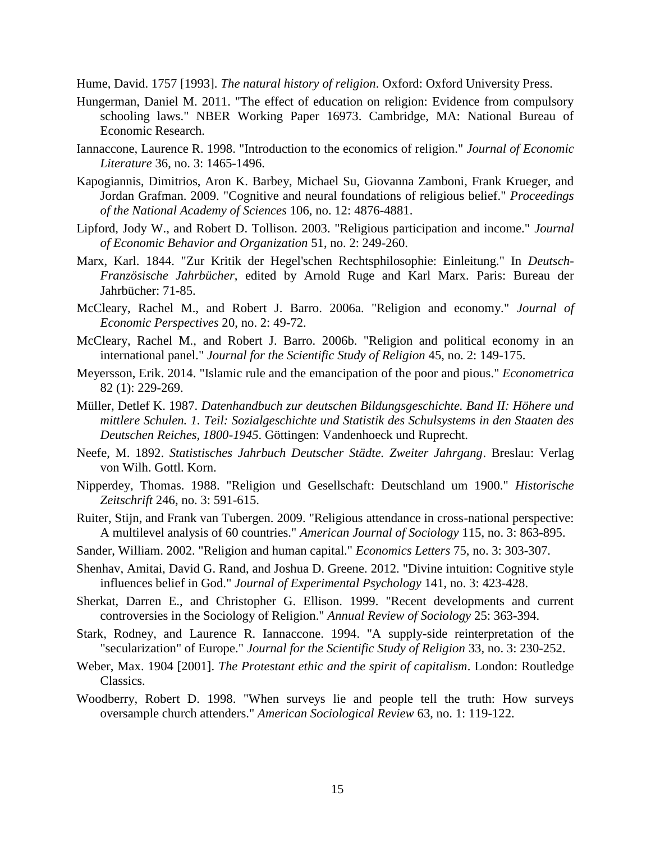<span id="page-16-0"></span>Hume, David. 1757 [1993]. *The natural history of religion*. Oxford: Oxford University Press.

- <span id="page-16-11"></span>Hungerman, Daniel M. 2011. "The effect of education on religion: Evidence from compulsory schooling laws." NBER Working Paper 16973. Cambridge, MA: National Bureau of Economic Research.
- <span id="page-16-2"></span>Iannaccone, Laurence R. 1998. "Introduction to the economics of religion." *Journal of Economic Literature* 36, no. 3: 1465-1496.
- <span id="page-16-9"></span>Kapogiannis, Dimitrios, Aron K. Barbey, Michael Su, Giovanna Zamboni, Frank Krueger, and Jordan Grafman. 2009. "Cognitive and neural foundations of religious belief." *Proceedings of the National Academy of Sciences* 106, no. 12: 4876-4881.
- <span id="page-16-15"></span>Lipford, Jody W., and Robert D. Tollison. 2003. "Religious participation and income." *Journal of Economic Behavior and Organization* 51, no. 2: 249-260.
- <span id="page-16-4"></span>Marx, Karl. 1844. "Zur Kritik der Hegel'schen Rechtsphilosophie: Einleitung." In *Deutsch-Französische Jahrbücher*, edited by Arnold Ruge and Karl Marx. Paris: Bureau der Jahrbücher: 71-85.
- <span id="page-16-1"></span>McCleary, Rachel M., and Robert J. Barro. 2006a. "Religion and economy." *Journal of Economic Perspectives* 20, no. 2: 49-72.
- <span id="page-16-6"></span>McCleary, Rachel M., and Robert J. Barro. 2006b. "Religion and political economy in an international panel." *Journal for the Scientific Study of Religion* 45, no. 2: 149-175.
- <span id="page-16-13"></span>Meyersson, Erik. 2014. "Islamic rule and the emancipation of the poor and pious." *Econometrica* 82 (1): 229-269.
- <span id="page-16-12"></span>Müller, Detlef K. 1987. *Datenhandbuch zur deutschen Bildungsgeschichte. Band II: Höhere und mittlere Schulen. 1. Teil: Sozialgeschichte und Statistik des Schulsystems in den Staaten des Deutschen Reiches, 1800-1945*. Göttingen: Vandenhoeck und Ruprecht.
- Neefe, M. 1892. *Statistisches Jahrbuch Deutscher Städte. Zweiter Jahrgang*. Breslau: Verlag von Wilh. Gottl. Korn.
- <span id="page-16-3"></span>Nipperdey, Thomas. 1988. "Religion und Gesellschaft: Deutschland um 1900." *Historische Zeitschrift* 246, no. 3: 591-615.
- <span id="page-16-10"></span>Ruiter, Stijn, and Frank van Tubergen. 2009. "Religious attendance in cross-national perspective: A multilevel analysis of 60 countries." *American Journal of Sociology* 115, no. 3: 863-895.
- Sander, William. 2002. "Religion and human capital." *Economics Letters* 75, no. 3: 303-307.
- <span id="page-16-7"></span>Shenhav, Amitai, David G. Rand, and Joshua D. Greene. 2012. "Divine intuition: Cognitive style influences belief in God." *Journal of Experimental Psychology* 141, no. 3: 423-428.
- Sherkat, Darren E., and Christopher G. Ellison. 1999. "Recent developments and current controversies in the Sociology of Religion." *Annual Review of Sociology* 25: 363-394.
- <span id="page-16-8"></span>Stark, Rodney, and Laurence R. Iannaccone. 1994. "A supply-side reinterpretation of the "secularization" of Europe." *Journal for the Scientific Study of Religion* 33, no. 3: 230-252.
- <span id="page-16-5"></span>Weber, Max. 1904 [2001]. *The Protestant ethic and the spirit of capitalism*. London: Routledge Classics.
- <span id="page-16-14"></span>Woodberry, Robert D. 1998. "When surveys lie and people tell the truth: How surveys oversample church attenders." *American Sociological Review* 63, no. 1: 119-122.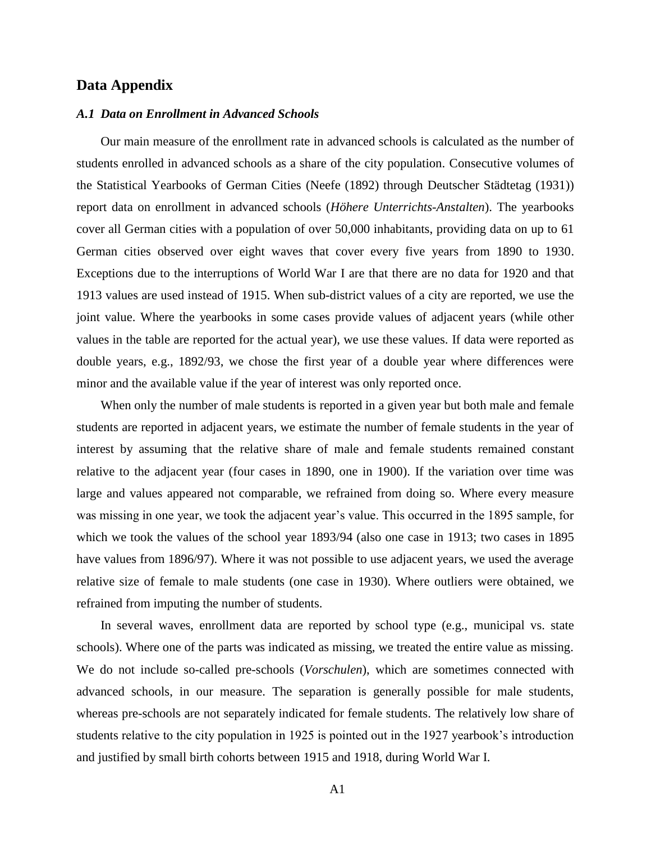#### **Data Appendix**

#### *A.1 Data on Enrollment in Advanced Schools*

Our main measure of the enrollment rate in advanced schools is calculated as the number of students enrolled in advanced schools as a share of the city population. Consecutive volumes of the Statistical Yearbooks of German Cities [\(Neefe \(1892\)](#page-16-12) through [Deutscher Städtetag \(1931\)](#page-15-13)) report data on enrollment in advanced schools (*Höhere Unterrichts-Anstalten*). The yearbooks cover all German cities with a population of over 50,000 inhabitants, providing data on up to 61 German cities observed over eight waves that cover every five years from 1890 to 1930. Exceptions due to the interruptions of World War I are that there are no data for 1920 and that 1913 values are used instead of 1915. When sub-district values of a city are reported, we use the joint value. Where the yearbooks in some cases provide values of adjacent years (while other values in the table are reported for the actual year), we use these values. If data were reported as double years, e.g., 1892/93, we chose the first year of a double year where differences were minor and the available value if the year of interest was only reported once.

When only the number of male students is reported in a given year but both male and female students are reported in adjacent years, we estimate the number of female students in the year of interest by assuming that the relative share of male and female students remained constant relative to the adjacent year (four cases in 1890, one in 1900). If the variation over time was large and values appeared not comparable, we refrained from doing so. Where every measure was missing in one year, we took the adjacent year's value. This occurred in the 1895 sample, for which we took the values of the school year 1893/94 (also one case in 1913; two cases in 1895 have values from 1896/97). Where it was not possible to use adjacent years, we used the average relative size of female to male students (one case in 1930). Where outliers were obtained, we refrained from imputing the number of students.

In several waves, enrollment data are reported by school type (e.g., municipal vs. state schools). Where one of the parts was indicated as missing, we treated the entire value as missing. We do not include so-called pre-schools (*Vorschulen*), which are sometimes connected with advanced schools, in our measure. The separation is generally possible for male students, whereas pre-schools are not separately indicated for female students. The relatively low share of students relative to the city population in 1925 is pointed out in the 1927 yearbook's introduction and justified by small birth cohorts between 1915 and 1918, during World War I.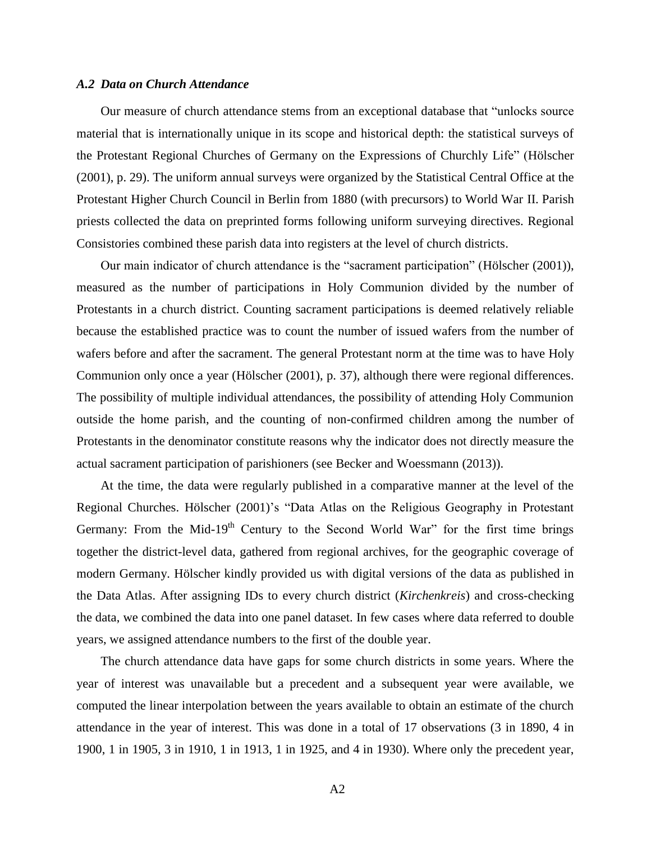#### *A.2 Data on Church Attendance*

Our measure of church attendance stems from an exceptional database that "unlocks source material that is internationally unique in its scope and historical depth: the statistical surveys of the Protestant Regional Churches of Germany on the Expressions of Churchly Life" [\(Hölscher](#page-15-10)  [\(2001\)](#page-15-10), p. 29). The uniform annual surveys were organized by the Statistical Central Office at the Protestant Higher Church Council in Berlin from 1880 (with precursors) to World War II. Parish priests collected the data on preprinted forms following uniform surveying directives. Regional Consistories combined these parish data into registers at the level of church districts.

Our main indicator of church attendance is the "sacrament participation" [\(Hölscher \(2001\)](#page-15-6)), measured as the number of participations in Holy Communion divided by the number of Protestants in a church district. Counting sacrament participations is deemed relatively reliable because the established practice was to count the number of issued wafers from the number of wafers before and after the sacrament. The general Protestant norm at the time was to have Holy Communion only once a year [\(Hölscher \(2001\)](#page-15-10), p. 37), although there were regional differences. The possibility of multiple individual attendances, the possibility of attending Holy Communion outside the home parish, and the counting of non-confirmed children among the number of Protestants in the denominator constitute reasons why the indicator does not directly measure the actual sacrament participation of parishioners (see [Becker and Woessmann \(2013\)](#page-15-2)).

At the time, the data were regularly published in a comparative manner at the level of the Regional Churches. [Hölscher \(2001\)](#page-15-6)'s "Data Atlas on the Religious Geography in Protestant Germany: From the Mid-19<sup>th</sup> Century to the Second World War" for the first time brings together the district-level data, gathered from regional archives, for the geographic coverage of modern Germany. Hölscher kindly provided us with digital versions of the data as published in the Data Atlas. After assigning IDs to every church district (*Kirchenkreis*) and cross-checking the data, we combined the data into one panel dataset. In few cases where data referred to double years, we assigned attendance numbers to the first of the double year.

The church attendance data have gaps for some church districts in some years. Where the year of interest was unavailable but a precedent and a subsequent year were available, we computed the linear interpolation between the years available to obtain an estimate of the church attendance in the year of interest. This was done in a total of 17 observations (3 in 1890, 4 in 1900, 1 in 1905, 3 in 1910, 1 in 1913, 1 in 1925, and 4 in 1930). Where only the precedent year,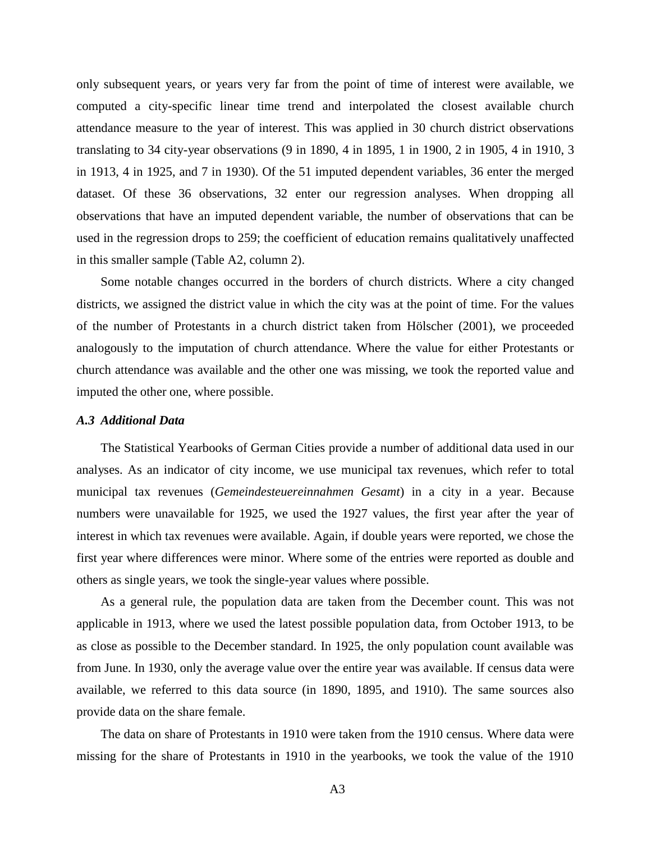only subsequent years, or years very far from the point of time of interest were available, we computed a city-specific linear time trend and interpolated the closest available church attendance measure to the year of interest. This was applied in 30 church district observations translating to 34 city-year observations (9 in 1890, 4 in 1895, 1 in 1900, 2 in 1905, 4 in 1910, 3 in 1913, 4 in 1925, and 7 in 1930). Of the 51 imputed dependent variables, 36 enter the merged dataset. Of these 36 observations, 32 enter our regression analyses. When dropping all observations that have an imputed dependent variable, the number of observations that can be used in the regression drops to 259; the coefficient of education remains qualitatively unaffected in this smaller sample (Table A2, column 2).

Some notable changes occurred in the borders of church districts. Where a city changed districts, we assigned the district value in which the city was at the point of time. For the values of the number of Protestants in a church district taken from [Hölscher \(2001\)](#page-15-6), we proceeded analogously to the imputation of church attendance. Where the value for either Protestants or church attendance was available and the other one was missing, we took the reported value and imputed the other one, where possible.

#### *A.3 Additional Data*

The Statistical Yearbooks of German Cities provide a number of additional data used in our analyses. As an indicator of city income, we use municipal tax revenues, which refer to total municipal tax revenues (*Gemeindesteuereinnahmen Gesamt*) in a city in a year. Because numbers were unavailable for 1925, we used the 1927 values, the first year after the year of interest in which tax revenues were available. Again, if double years were reported, we chose the first year where differences were minor. Where some of the entries were reported as double and others as single years, we took the single-year values where possible.

As a general rule, the population data are taken from the December count. This was not applicable in 1913, where we used the latest possible population data, from October 1913, to be as close as possible to the December standard. In 1925, the only population count available was from June. In 1930, only the average value over the entire year was available. If census data were available, we referred to this data source (in 1890, 1895, and 1910). The same sources also provide data on the share female.

The data on share of Protestants in 1910 were taken from the 1910 census. Where data were missing for the share of Protestants in 1910 in the yearbooks, we took the value of the 1910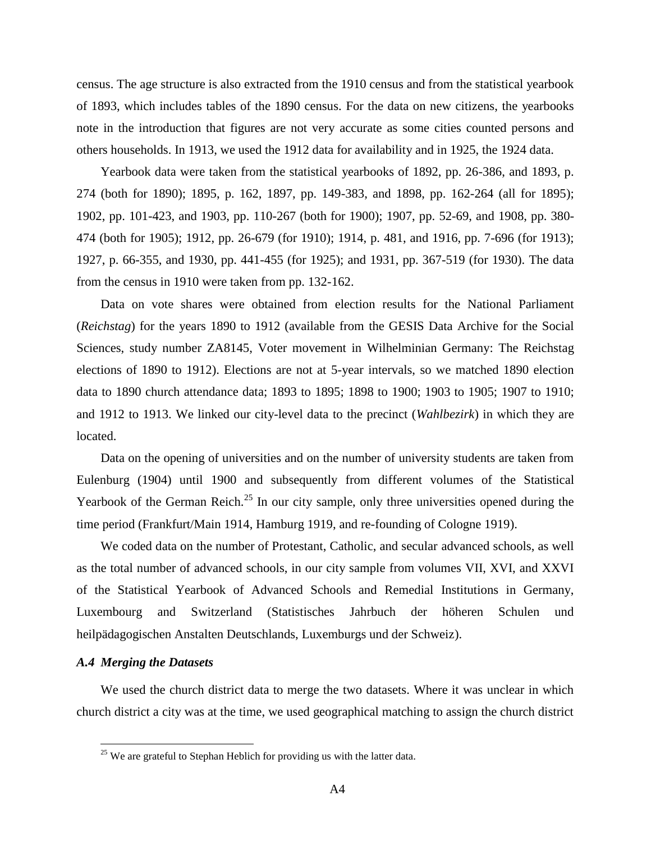census. The age structure is also extracted from the 1910 census and from the statistical yearbook of 1893, which includes tables of the 1890 census. For the data on new citizens, the yearbooks note in the introduction that figures are not very accurate as some cities counted persons and others households. In 1913, we used the 1912 data for availability and in 1925, the 1924 data.

Yearbook data were taken from the statistical yearbooks of 1892, pp. 26-386, and 1893, p. 274 (both for 1890); 1895, p. 162, 1897, pp. 149-383, and 1898, pp. 162-264 (all for 1895); 1902, pp. 101-423, and 1903, pp. 110-267 (both for 1900); 1907, pp. 52-69, and 1908, pp. 380- 474 (both for 1905); 1912, pp. 26-679 (for 1910); 1914, p. 481, and 1916, pp. 7-696 (for 1913); 1927, p. 66-355, and 1930, pp. 441-455 (for 1925); and 1931, pp. 367-519 (for 1930). The data from the census in 1910 were taken from pp. 132-162.

Data on vote shares were obtained from election results for the National Parliament (*Reichstag*) for the years 1890 to 1912 (available from the GESIS Data Archive for the Social Sciences, study number ZA8145, Voter movement in Wilhelminian Germany: The Reichstag elections of 1890 to 1912). Elections are not at 5-year intervals, so we matched 1890 election data to 1890 church attendance data; 1893 to 1895; 1898 to 1900; 1903 to 1905; 1907 to 1910; and 1912 to 1913. We linked our city-level data to the precinct (*Wahlbezirk*) in which they are located.

Data on the opening of universities and on the number of university students are taken from [Eulenburg \(1904\)](#page-15-3) until 1900 and subsequently from different volumes of the Statistical Yearbook of the German Reich.<sup>25</sup> In our city sample, only three universities opened during the time period (Frankfurt/Main 1914, Hamburg 1919, and re-founding of Cologne 1919).

We coded data on the number of Protestant, Catholic, and secular advanced schools, as well as the total number of advanced schools, in our city sample from volumes VII, XVI, and XXVI of the Statistical Yearbook of Advanced Schools and Remedial Institutions in Germany, Luxembourg and Switzerland (Statistisches Jahrbuch der höheren Schulen und heilpädagogischen Anstalten Deutschlands, Luxemburgs und der Schweiz).

#### *A.4 Merging the Datasets*

 $\overline{a}$ 

We used the church district data to merge the two datasets. Where it was unclear in which church district a city was at the time, we used geographical matching to assign the church district

 $25$  We are grateful to Stephan Heblich for providing us with the latter data.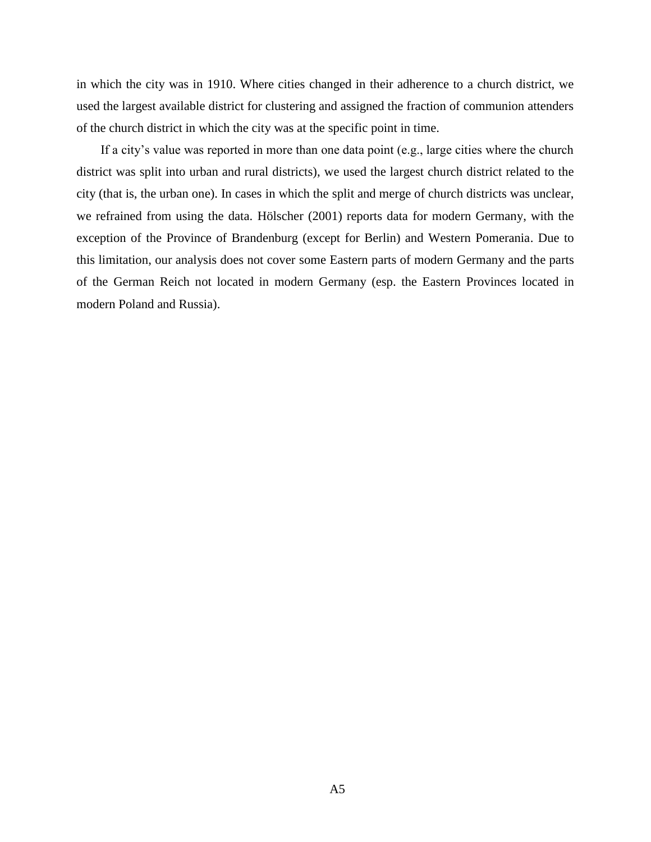in which the city was in 1910. Where cities changed in their adherence to a church district, we used the largest available district for clustering and assigned the fraction of communion attenders of the church district in which the city was at the specific point in time.

If a city's value was reported in more than one data point (e.g., large cities where the church district was split into urban and rural districts), we used the largest church district related to the city (that is, the urban one). In cases in which the split and merge of church districts was unclear, we refrained from using the data. [Hölscher \(2001\)](#page-15-6) reports data for modern Germany, with the exception of the Province of Brandenburg (except for Berlin) and Western Pomerania. Due to this limitation, our analysis does not cover some Eastern parts of modern Germany and the parts of the German Reich not located in modern Germany (esp. the Eastern Provinces located in modern Poland and Russia).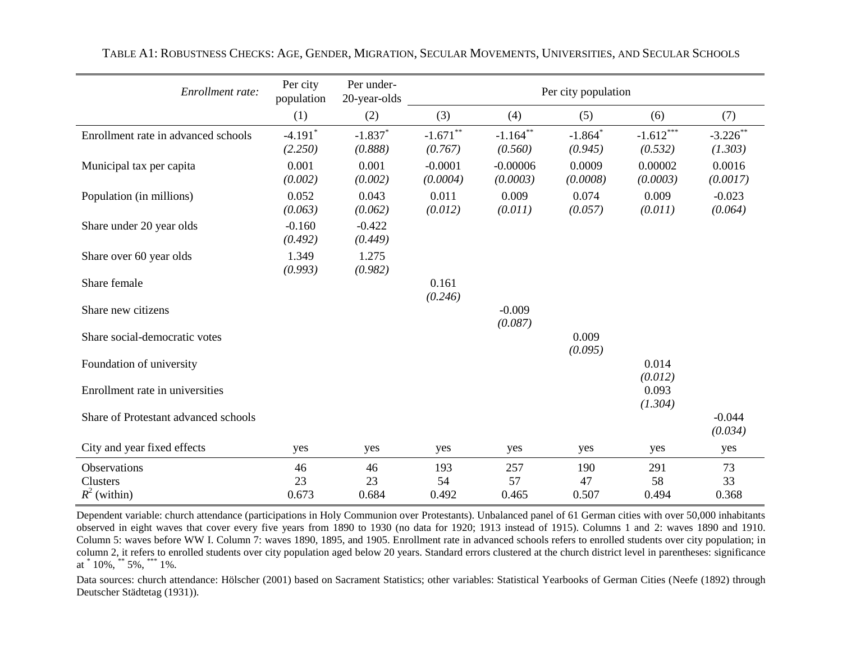| Enrollment rate:                           | Per city<br>population           | Per under-<br>20-year-olds       | Per city population    |                        |                                  |                        |                        |
|--------------------------------------------|----------------------------------|----------------------------------|------------------------|------------------------|----------------------------------|------------------------|------------------------|
|                                            | (1)                              | (2)                              | (3)                    | (4)                    | (5)                              | (6)                    | (7)                    |
| Enrollment rate in advanced schools        | $-4.191$ <sup>*</sup><br>(2.250) | $-1.837$ <sup>*</sup><br>(0.888) | $-1.671$ **<br>(0.767) | $-1.164$ **<br>(0.560) | $-1.864$ <sup>*</sup><br>(0.945) | $-1.612***$<br>(0.532) | $-3.226$ **<br>(1.303) |
| Municipal tax per capita                   | 0.001<br>(0.002)                 | 0.001<br>(0.002)                 | $-0.0001$<br>(0.0004)  | $-0.00006$<br>(0.0003) | 0.0009<br>(0.0008)               | 0.00002<br>(0.0003)    | 0.0016<br>(0.0017)     |
| Population (in millions)                   | 0.052<br>(0.063)                 | 0.043<br>(0.062)                 | 0.011<br>(0.012)       | 0.009<br>(0.011)       | 0.074<br>(0.057)                 | 0.009<br>(0.011)       | $-0.023$<br>(0.064)    |
| Share under 20 year olds                   | $-0.160$<br>(0.492)              | $-0.422$<br>(0.449)              |                        |                        |                                  |                        |                        |
| Share over 60 year olds                    | 1.349<br>(0.993)                 | 1.275<br>(0.982)                 |                        |                        |                                  |                        |                        |
| Share female                               |                                  |                                  | 0.161<br>(0.246)       |                        |                                  |                        |                        |
| Share new citizens                         |                                  |                                  |                        | $-0.009$<br>(0.087)    |                                  |                        |                        |
| Share social-democratic votes              |                                  |                                  |                        |                        | 0.009<br>(0.095)                 |                        |                        |
| Foundation of university                   |                                  |                                  |                        |                        |                                  | 0.014<br>(0.012)       |                        |
| Enrollment rate in universities            |                                  |                                  |                        |                        |                                  | 0.093<br>(1.304)       |                        |
| Share of Protestant advanced schools       |                                  |                                  |                        |                        |                                  |                        | $-0.044$<br>(0.034)    |
| City and year fixed effects                | yes                              | yes                              | yes                    | yes                    | yes                              | yes                    | yes                    |
| Observations<br>Clusters<br>$R^2$ (within) | 46<br>23<br>0.673                | 46<br>23<br>0.684                | 193<br>54<br>0.492     | 257<br>57<br>0.465     | 190<br>47<br>0.507               | 291<br>58<br>0.494     | 73<br>33<br>0.368      |

TABLE A1: ROBUSTNESS CHECKS: AGE, GENDER, MIGRATION, SECULAR MOVEMENTS, UNIVERSITIES, AND SECULAR SCHOOLS

Dependent variable: church attendance (participations in Holy Communion over Protestants). Unbalanced panel of 61 German cities with over 50,000 inhabitants observed in eight waves that cover every five years from 1890 to 1930 (no data for 1920; 1913 instead of 1915). Columns 1 and 2: waves 1890 and 1910. Column 5: waves before WW I. Column 7: waves 1890, 1895, and 1905. Enrollment rate in advanced schools refers to enrolled students over city population; in column 2, it refers to enrolled students over city population aged below 20 years. Standard errors clustered at the church district level in parentheses: significance at  $*$  10%,  $*$  5%,  $*$  1%.

Data sources: church attendance: [Hölscher \(2001\)](#page-15-17) based on Sacrament Statistics; other variables: Statistical Yearbooks of German Cities [\(Neefe \(1892\)](#page-16-15) through [Deutscher Städtetag \(1931\)](#page-15-18)).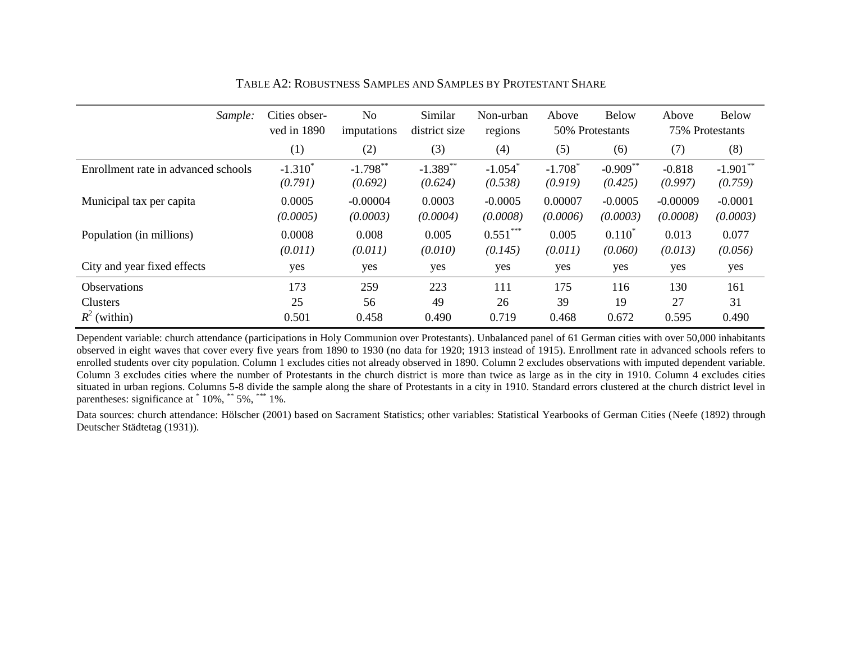| Sample:                             | Cities obser-<br>ved in 1890 | No<br>imputations      | Similar<br>district size | Non-urban<br>regions             | Above                            | <b>Below</b><br>50% Protestants | Above                  | <b>Below</b><br>75% Protestants |
|-------------------------------------|------------------------------|------------------------|--------------------------|----------------------------------|----------------------------------|---------------------------------|------------------------|---------------------------------|
|                                     | (1)                          | (2)                    | (3)                      | (4)                              | (5)                              | (6)                             | (7)                    | (8)                             |
| Enrollment rate in advanced schools | $-1.310^{*}$<br>(0.791)      | $-1.798$ **<br>(0.692) | $-1.389$ **<br>(0.624)   | $-1.054$ <sup>*</sup><br>(0.538) | $-1.708$ <sup>*</sup><br>(0.919) | $-0.909$ **<br>(0.425)          | $-0.818$<br>(0.997)    | $-1.901$ **<br>(0.759)          |
| Municipal tax per capita            | 0.0005<br>(0.0005)           | $-0.00004$<br>(0.0003) | 0.0003<br>(0.0004)       | $-0.0005$<br>(0.0008)            | 0.00007<br>(0.0006)              | $-0.0005$<br>(0.0003)           | $-0.00009$<br>(0.0008) | $-0.0001$<br>(0.0003)           |
| Population (in millions)            | 0.0008<br>(0.011)            | 0.008<br>(0.011)       | 0.005<br>(0.010)         | $0.551***$<br>(0.145)            | 0.005<br>(0.011)                 | $0.110^*$<br>(0.060)            | 0.013<br>(0.013)       | 0.077<br>(0.056)                |
| City and year fixed effects         | yes                          | yes                    | yes                      | yes                              | yes                              | yes                             | yes                    | yes                             |
| <b>Observations</b>                 | 173                          | 259                    | 223                      | 111                              | 175                              | 116                             | 130                    | 161                             |
| Clusters                            | 25                           | 56                     | 49                       | 26                               | 39                               | 19                              | 27                     | 31                              |
| $R^2$ (within)                      | 0.501                        | 0.458                  | 0.490                    | 0.719                            | 0.468                            | 0.672                           | 0.595                  | 0.490                           |

TABLE A2: ROBUSTNESS SAMPLES AND SAMPLES BY PROTESTANT SHARE

Dependent variable: church attendance (participations in Holy Communion over Protestants). Unbalanced panel of 61 German cities with over 50,000 inhabitants observed in eight waves that cover every five years from 1890 to 1930 (no data for 1920; 1913 instead of 1915). Enrollment rate in advanced schools refers to enrolled students over city population. Column 1 excludes cities not already observed in 1890. Column 2 excludes observations with imputed dependent variable. Column 3 excludes cities where the number of Protestants in the church district is more than twice as large as in the city in 1910. Column 4 excludes cities situated in urban regions. Columns 5-8 divide the sample along the share of Protestants in a city in 1910. Standard errors clustered at the church district level in parentheses: significance at  $*$  10%,  $*$  5%,  $*$  1%.

Data sources: church attendance: [Hölscher \(2001\)](#page-15-17) based on Sacrament Statistics; other variables: Statistical Yearbooks of German Cities [\(Neefe \(1892\)](#page-16-15) through [Deutscher Städtetag \(1931\)](#page-15-18)).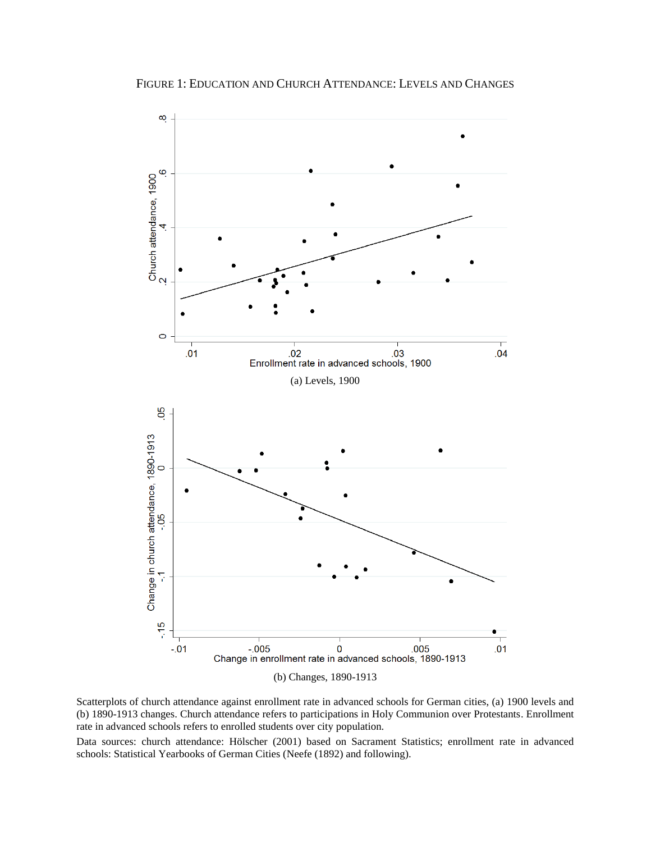FIGURE 1: EDUCATION AND CHURCH ATTENDANCE: LEVELS AND CHANGES



Scatterplots of church attendance against enrollment rate in advanced schools for German cities, (a) 1900 levels and (b) 1890-1913 changes. Church attendance refers to participations in Holy Communion over Protestants. Enrollment rate in advanced schools refers to enrolled students over city population.

Data sources: church attendance: [Hölscher \(2001\)](#page-15-6) based on Sacrament Statistics; enrollment rate in advanced schools: Statistical Yearbooks of German Cities [\(Neefe \(1892\)](#page-16-12) and following).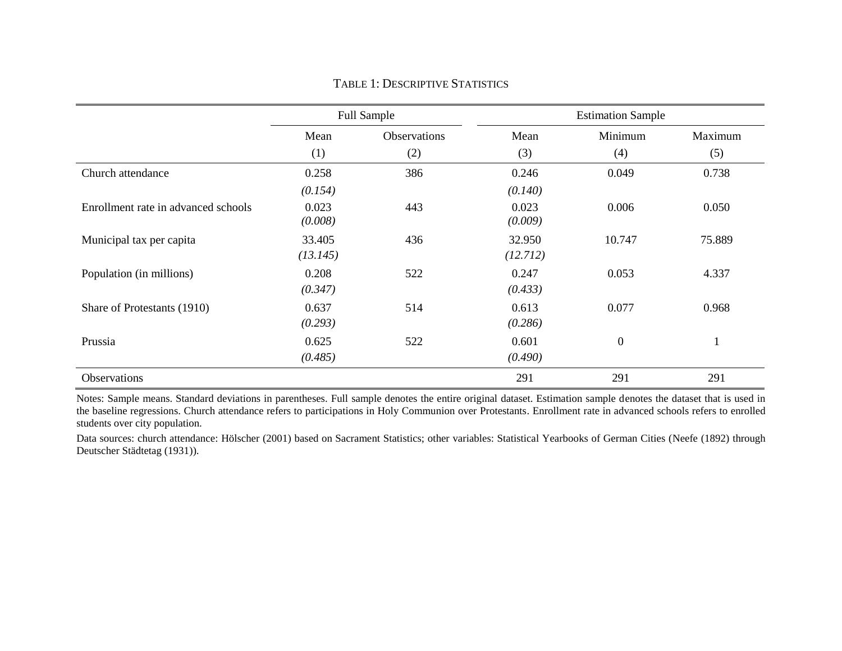|                                     |                    | <b>Full Sample</b> | <b>Estimation Sample</b> |                  |          |  |  |
|-------------------------------------|--------------------|--------------------|--------------------------|------------------|----------|--|--|
|                                     | Mean               | Observations       | Mean                     | Minimum          | Maximum  |  |  |
|                                     | (1)                | (2)                | (3)                      | (4)              | (5)      |  |  |
| Church attendance                   | 0.258              | 386                | 0.246                    | 0.049            | 0.738    |  |  |
|                                     | (0.154)            |                    | (0.140)                  |                  |          |  |  |
| Enrollment rate in advanced schools | 0.023<br>(0.008)   | 443                | 0.023<br>(0.009)         | 0.006            | 0.050    |  |  |
| Municipal tax per capita            | 33.405<br>(13.145) | 436                | 32.950<br>(12.712)       | 10.747           | 75.889   |  |  |
| Population (in millions)            | 0.208<br>(0.347)   | 522                | 0.247<br>(0.433)         | 0.053            | 4.337    |  |  |
| Share of Protestants (1910)         | 0.637<br>(0.293)   | 514                | 0.613<br>(0.286)         | 0.077            | 0.968    |  |  |
| Prussia                             | 0.625<br>(0.485)   | 522                | 0.601<br>(0.490)         | $\boldsymbol{0}$ | $\bf{1}$ |  |  |
| Observations                        |                    |                    | 291                      | 291              | 291      |  |  |

TABLE 1: DESCRIPTIVE STATISTICS

Notes: Sample means. Standard deviations in parentheses. Full sample denotes the entire original dataset. Estimation sample denotes the dataset that is used in the baseline regressions. Church attendance refers to participations in Holy Communion over Protestants. Enrollment rate in advanced schools refers to enrolled students over city population.

Data sources: church attendance: [Hölscher \(2001\)](#page-15-17) based on Sacrament Statistics; other variables: Statistical Yearbooks of German Cities [\(Neefe \(1892\)](#page-16-15) through [Deutscher Städtetag \(1931\)](#page-15-18)).